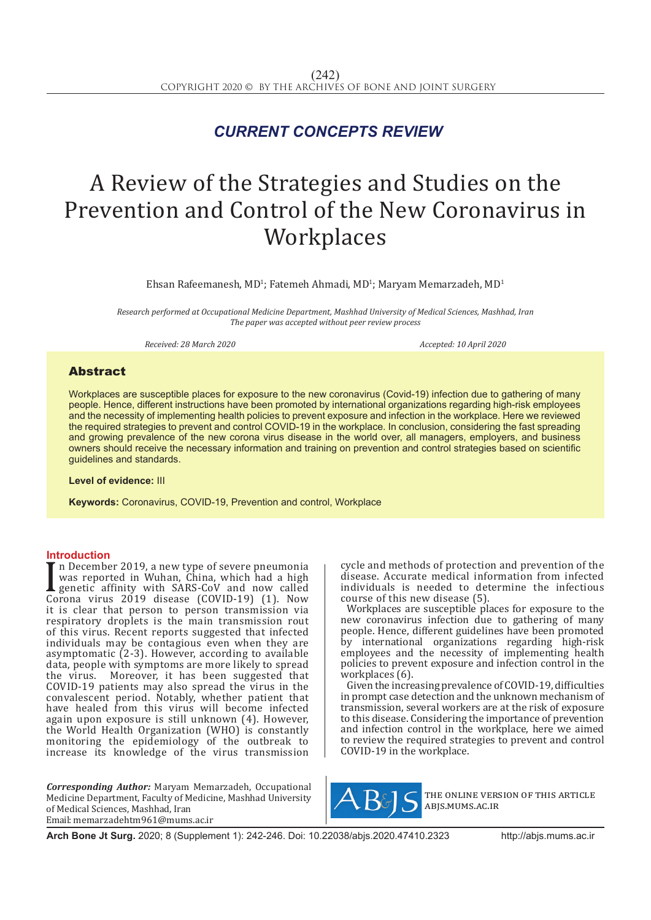## *CURRENT CONCEPTS REVIEW*

# A Review of the Strategies and Studies on the Prevention and Control of the New Coronavirus in **Workplaces**

 $E$ hsan Rafeemanesh, MD<sup>1</sup>; Fatemeh Ahmadi, MD<sup>1</sup>; Maryam Memarzadeh, MD<sup>1</sup>

*Research performed at Occupational Medicine Department, Mashhad University of Medical Sciences, Mashhad, Iran The paper was accepted without peer review process*

*Received: 28 March 2020* Accepted: 10 April 2020

### Abstract

Workplaces are susceptible places for exposure to the new coronavirus (Covid-19) infection due to gathering of many people. Hence, different instructions have been promoted by international organizations regarding high-risk employees and the necessity of implementing health policies to prevent exposure and infection in the workplace. Here we reviewed the required strategies to prevent and control COVID-19 in the workplace. In conclusion, considering the fast spreading and growing prevalence of the new corona virus disease in the world over, all managers, employers, and business owners should receive the necessary information and training on prevention and control strategies based on scientific guidelines and standards.

**Level of evidence:** III

**Keywords:** Coronavirus, COVID-19, Prevention and control, Workplace

#### **Introduction**

I becember 2019, a new type of severe pheumonia<br>
was reported in Wuhan, China, which had a high<br>
genetic affinity with SARS-CoV and now called<br>
Corona virus 2019 disease (COVID-19) (1). Now n December 2019, a new type of severe pneumonia was reported in Wuhan, China, which had a high genetic affinity with SARS-CoV and now called it is clear that person to person transmission via respiratory droplets is the main transmission rout of this virus. Recent reports suggested that infected individuals may be contagious even when they are asymptomatic (2-3). However, according to available data, people with symptoms are more likely to spread the virus. Moreover, it has been suggested that COVID-19 patients may also spread the virus in the convalescent period. Notably, whether patient that have healed from this virus will become infected again upon exposure is still unknown (4). However, the World Health Organization (WHO) is constantly monitoring the epidemiology of the outbreak to increase its knowledge of the virus transmission

*Corresponding Author:* Maryam Memarzadeh, Occupational Medicine Department, Faculty of Medicine, Mashhad University of Medical Sciences, Mashhad, Iran Email: memarzadehtm961@mums.ac.ir

cycle and methods of protection and prevention of the disease. Accurate medical information from infected individuals is needed to determine the infectious course of this new disease (5).

Workplaces are susceptible places for exposure to the new coronavirus infection due to gathering of many people. Hence, different guidelines have been promoted by international organizations regarding high-risk employees and the necessity of implementing health policies to prevent exposure and infection control in the workplaces (6).

Given the increasing prevalence of COVID-19, difficulties in prompt case detection and the unknown mechanism of transmission, several workers are at the risk of exposure to this disease. Considering the importance of prevention and infection control in the workplace, here we aimed to review the required strategies to prevent and control COVID-19 in the workplace.



the online version of this article abjs.mums.ac.ir

**Arch Bone Jt Surg.** 2020; 8 (Supplement 1): 242-246. Doi: 10.22038/abjs.2020.47410.2323http://abjs.mums.ac.ir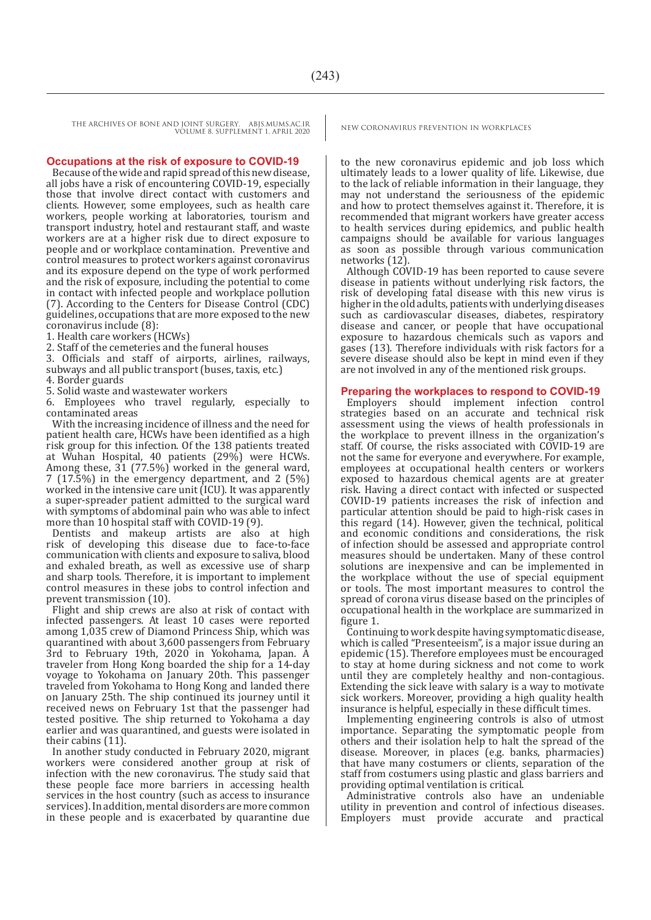THE ARCHIVES OF BONE AND JOINT SURGERY. ABJS.MUMS.AC.IR NEW CORONAVIRUS PREVENTION IN WORKPLACES VOLUME 8. SUPPLEMENT 1. APRIL 2020

#### **Occupations at the risk of exposure to COVID-19**

Because of the wide and rapid spread of this new disease, all jobs have a risk of encountering COVID-19, especially those that involve direct contact with customers and clients. However, some employees, such as health care workers, people working at laboratories, tourism and transport industry, hotel and restaurant staff, and waste workers are at a higher risk due to direct exposure to people and or workplace contamination. Preventive and control measures to protect workers against coronavirus and its exposure depend on the type of work performed and the risk of exposure, including the potential to come in contact with infected people and workplace pollution (7). According to the Centers for Disease Control (CDC) guidelines, occupations that are more exposed to the new coronavirus include (8):

1. Health care workers (HCWs)

2. Staff of the cemeteries and the funeral houses

3. Officials and staff of airports, airlines, railways, subways and all public transport (buses, taxis, etc.)

4. Border guards

5. Solid waste and wastewater workers

6. Employees who travel regularly, especially to contaminated areas

With the increasing incidence of illness and the need for patient health care, HCWs have been identified as a high risk group for this infection. Of the 138 patients treated at Wuhan Hospital, 40 patients (29%) were HCWs. Among these,  $31$  (77.5%) worked in the general ward, 7 (17.5%) in the emergency department, and 2 (5%) worked in the intensive care unit (ICU). It was apparently a super-spreader patient admitted to the surgical ward with symptoms of abdominal pain who was able to infect more than 10 hospital staff with COVID-19 (9).

Dentists and makeup artists are also at high risk of developing this disease due to face-to-face communication with clients and exposure to saliva, blood and exhaled breath, as well as excessive use of sharp and sharp tools. Therefore, it is important to implement control measures in these jobs to control infection and prevent transmission (10).

Flight and ship crews are also at risk of contact with infected passengers. At least 10 cases were reported among 1,035 crew of Diamond Princess Ship, which was quarantined with about 3,600 passengers from February 3rd to February 19th, 2020 in Yokohama, Japan. A traveler from Hong Kong boarded the ship for a 14-day voyage to Yokohama on January 20th. This passenger traveled from Yokohama to Hong Kong and landed there on January 25th. The ship continued its journey until it received news on February 1st that the passenger had tested positive. The ship returned to Yokohama a day earlier and was quarantined, and guests were isolated in their cabins (11).

In another study conducted in February 2020, migrant workers were considered another group at risk of infection with the new coronavirus. The study said that these people face more barriers in accessing health services in the host country (such as access to insurance services). In addition, mental disorders are more common in these people and is exacerbated by quarantine due

to the new coronavirus epidemic and job loss which ultimately leads to a lower quality of life. Likewise, due to the lack of reliable information in their language, they may not understand the seriousness of the epidemic and how to protect themselves against it. Therefore, it is recommended that migrant workers have greater access to health services during epidemics, and public health campaigns should be available for various languages as soon as possible through various communication networks (12).

Although COVID-19 has been reported to cause severe disease in patients without underlying risk factors, the risk of developing fatal disease with this new virus is higher in the old adults, patients with underlying diseases such as cardiovascular diseases, diabetes, respiratory disease and cancer, or people that have occupational exposure to hazardous chemicals such as vapors and gases (13). Therefore individuals with risk factors for a severe disease should also be kept in mind even if they are not involved in any of the mentioned risk groups.

#### **Preparing the workplaces to respond to COVID-19**

Employers should implement infection control strategies based on an accurate and technical risk assessment using the views of health professionals in the workplace to prevent illness in the organization's staff. Of course, the risks associated with COVID-19 are not the same for everyone and everywhere. For example, employees at occupational health centers or workers exposed to hazardous chemical agents are at greater risk. Having a direct contact with infected or suspected COVID-19 patients increases the risk of infection and particular attention should be paid to high-risk cases in this regard (14). However, given the technical, political and economic conditions and considerations, the risk of infection should be assessed and appropriate control measures should be undertaken. Many of these control solutions are inexpensive and can be implemented in the workplace without the use of special equipment or tools. The most important measures to control the spread of corona virus disease based on the principles of occupational health in the workplace are summarized in figure 1.

Continuing to work despite having symptomatic disease, which is called "Presenteeism", is a major issue during an epidemic (15). Therefore employees must be encouraged to stay at home during sickness and not come to work until they are completely healthy and non-contagious. Extending the sick leave with salary is a way to motivate sick workers. Moreover, providing a high quality health insurance is helpful, especially in these difficult times.

Implementing engineering controls is also of utmost importance. Separating the symptomatic people from others and their isolation help to halt the spread of the disease. Moreover, in places (e.g. banks, pharmacies) that have many costumers or clients, separation of the staff from costumers using plastic and glass barriers and providing optimal ventilation is critical.

Administrative controls also have an undeniable utility in prevention and control of infectious diseases. Employers must provide accurate and practical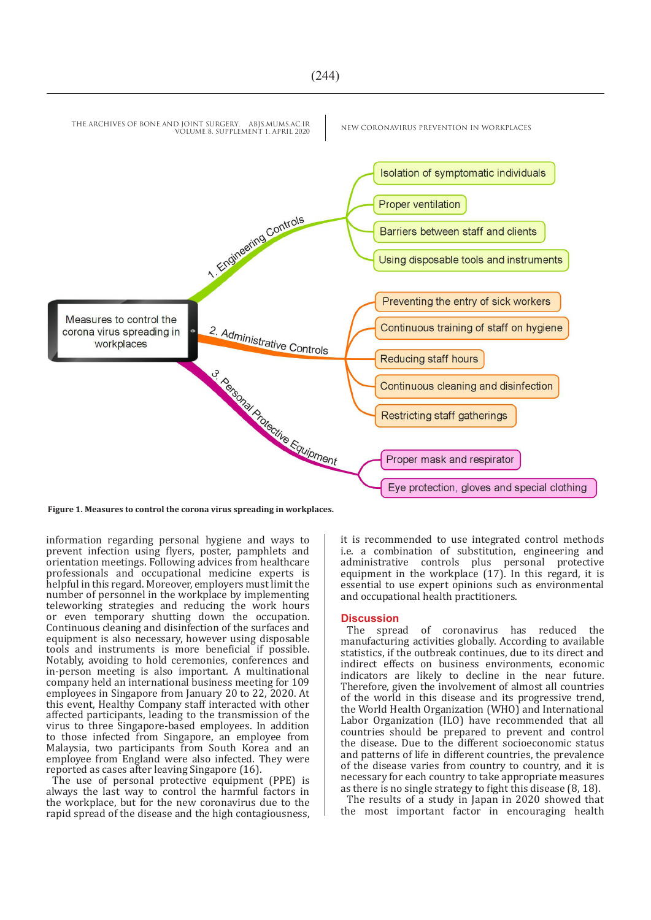

**Figure 1. Measures to control the corona virus spreading in workplaces.**

information regarding personal hygiene and ways to prevent infection using flyers, poster, pamphlets and orientation meetings. Following advices from healthcare professionals and occupational medicine experts is helpful in this regard. Moreover, employers must limit the number of personnel in the workplace by implementing teleworking strategies and reducing the work hours or even temporary shutting down the occupation. Continuous cleaning and disinfection of the surfaces and equipment is also necessary, however using disposable tools and instruments is more beneficial if possible. Notably, avoiding to hold ceremonies, conferences and in-person meeting is also important. A multinational company held an international business meeting for 109 employees in Singapore from January 20 to 22, 2020. At this event, Healthy Company staff interacted with other affected participants, leading to the transmission of the virus to three Singapore-based employees. In addition to those infected from Singapore, an employee from Malaysia, two participants from South Korea and an employee from England were also infected. They were reported as cases after leaving Singapore (16).

The use of personal protective equipment (PPE) is always the last way to control the harmful factors in the workplace, but for the new coronavirus due to the rapid spread of the disease and the high contagiousness, it is recommended to use integrated control methods i.e. a combination of substitution, engineering and administrative controls plus personal protective equipment in the workplace (17). In this regard, it is essential to use expert opinions such as environmental and occupational health practitioners.

#### **Discussion**

The spread of coronavirus has reduced the manufacturing activities globally. According to available statistics, if the outbreak continues, due to its direct and indirect effects on business environments, economic indicators are likely to decline in the near future. Therefore, given the involvement of almost all countries of the world in this disease and its progressive trend, the World Health Organization (WHO) and International Labor Organization (ILO) have recommended that all countries should be prepared to prevent and control the disease. Due to the different socioeconomic status and patterns of life in different countries, the prevalence of the disease varies from country to country, and it is necessary for each country to take appropriate measures as there is no single strategy to fight this disease (8, 18).

The results of a study in Japan in 2020 showed that the most important factor in encouraging health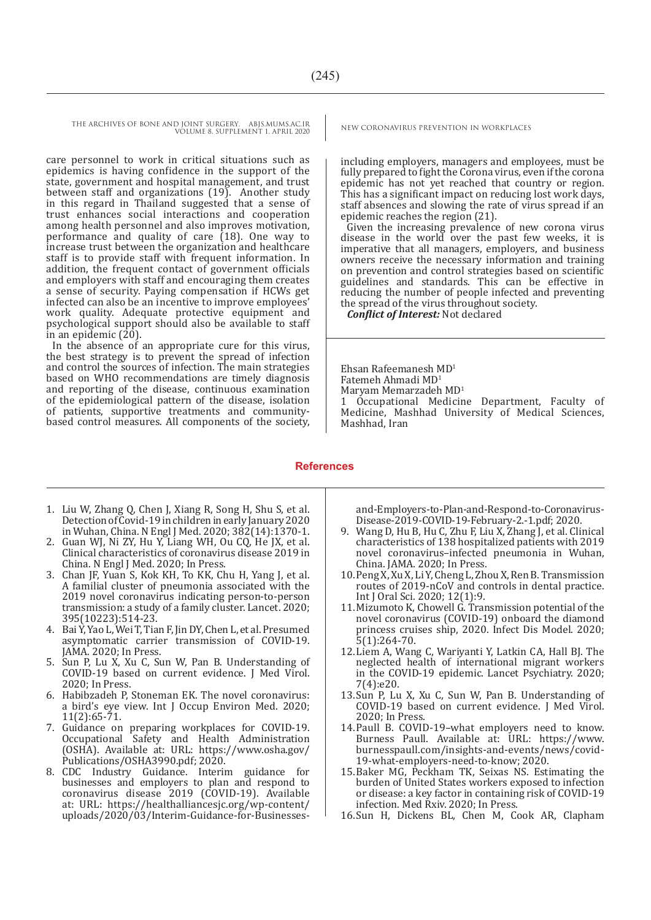THE ARCHIVES OF BONE AND JOINT SURGERY. ABJS.MUMS.AC.IR NEW CORONAVIRUS PREVENTION IN WORKPLACES VOLUME 8. SUPPLEMENT 1. APRIL 2020

care personnel to work in critical situations such as epidemics is having confidence in the support of the state, government and hospital management, and trust between staff and organizations (19). Another study in this regard in Thailand suggested that a sense of trust enhances social interactions and cooperation among health personnel and also improves motivation, performance and quality of care  $(18)$ . One way to increase trust between the organization and healthcare staff is to provide staff with frequent information. In addition, the frequent contact of government officials and employers with staff and encouraging them creates a sense of security. Paying compensation if HCWs get infected can also be an incentive to improve employees' work quality. Adequate protective equipment and psychological support should also be available to staff in an epidemic  $(20)$ .

In the absence of an appropriate cure for this virus, the best strategy is to prevent the spread of infection and control the sources of infection. The main strategies based on WHO recommendations are timely diagnosis and reporting of the disease, continuous examination of the epidemiological pattern of the disease, isolation of patients, supportive treatments and communitybased control measures. All components of the society,

including employers, managers and employees, must be fully prepared to fight the Corona virus, even if the corona epidemic has not yet reached that country or region. This has a significant impact on reducing lost work days, staff absences and slowing the rate of virus spread if an epidemic reaches the region (21).

Given the increasing prevalence of new corona virus disease in the world over the past few weeks, it is imperative that all managers, employers, and business owners receive the necessary information and training on prevention and control strategies based on scientific guidelines and standards. This can be effective in reducing the number of people infected and preventing the spread of the virus throughout society.

*Conflict of Interest:* Not declared

Ehsan Rafeemanesh MD1 Fatemeh Ahmadi MD1 Maryam Memarzadeh MD<sup>1</sup> 1 Occupational Medicine Department, Faculty of Medicine, Mashhad University of Medical Sciences, Mashhad, Iran

#### **References**

- 1. Liu W, Zhang Q, Chen J, Xiang R, Song H, Shu S, et al. Detection of Covid-19 in children in early January 2020 in Wuhan, China. N Engl J Med. 2020; 382(14):1370-1.
- 2. Guan WJ, Ni ZY, Hu Y, Liang WH, Ou CQ, He JX, et al. Clinical characteristics of coronavirus disease 2019 in China. N Engl J Med. 2020; In Press.
- 3. Chan JF, Yuan S, Kok KH, To KK, Chu H, Yang J, et al. A familial cluster of pneumonia associated with the 2019 novel coronavirus indicating person-to-person transmission: a study of a family cluster. Lancet. 2020; 395(10223):514-23.
- 4. Bai Y, Yao L, Wei T, Tian F, Jin DY, Chen L, et al. Presumed asymptomatic carrier transmission of COVID-19. JAMA. 2020; In Press.
- 5. Sun P, Lu X, Xu C, Sun W, Pan B. Understanding of COVID-19 based on current evidence. J Med Virol. 2020; In Press.
- 6. Habibzadeh P, Stoneman EK. The novel coronavirus: a bird's eye view. Int J Occup Environ Med. 2020; 11(2):65-71.
- 7. Guidance on preparing workplaces for COVID-19. Occupational Safety and Health Administration (OSHA). Available at: URL: https://www.osha.gov/ Publications/OSHA3990.pdf; 2020.<br>8. CDC Industry Guidance. Interir
- Guidance. Interim guidance for businesses and employers to plan and respond to coronavirus disease 2019 (COVID-19). Available at: URL: https://healthalliancesjc.org/wp-content/ uploads/2020/03/Interim-Guidance-for-Businesses-

and-Employers-to-Plan-and-Respond-to-Coronavirus-Disease-2019-COVID-19-February-2.-1.pdf; 2020.

- 9. Wang D, Hu B, Hu C, Zhu F, Liu X, Zhang J, et al. Clinical characteristics of 138 hospitalized patients with 2019 novel coronavirus–infected pneumonia in Wuhan, China. JAMA. 2020; In Press.
- 10.Peng X, Xu X, Li Y, Cheng L, Zhou X, Ren B. Transmission routes of 2019-nCoV and controls in dental practice. Int J Oral Sci. 2020; 12(1):9.
- 11.Mizumoto K, Chowell G. Transmission potential of the novel coronavirus (COVID-19) onboard the diamond princess cruises ship, 2020. Infect Dis Model. 2020;  $5(1):264-70.$
- 12.Liem A, Wang C, Wariyanti Y, Latkin CA, Hall BJ. The neglected health of international migrant workers in the COVID-19 epidemic. Lancet Psychiatry. 2020; 7(4):e20.
- 13.Sun P, Lu X, Xu C, Sun W, Pan B. Understanding of COVID-19 based on current evidence. J Med Virol. 2020; In Press.
- 14.Paull B. COVID-19–what employers need to know. Burness Paull. Available at: URL: https://www. burnesspaull.com/insights-and-events/news/covid-19-what-employers-need-to-know; 2020.
- 15.Baker MG, Peckham TK, Seixas NS. Estimating the burden of United States workers exposed to infection or disease: a key factor in containing risk of COVID-19 infection. Med Rxiv. 2020; In Press.
- 16.Sun H, Dickens BL, Chen M, Cook AR, Clapham